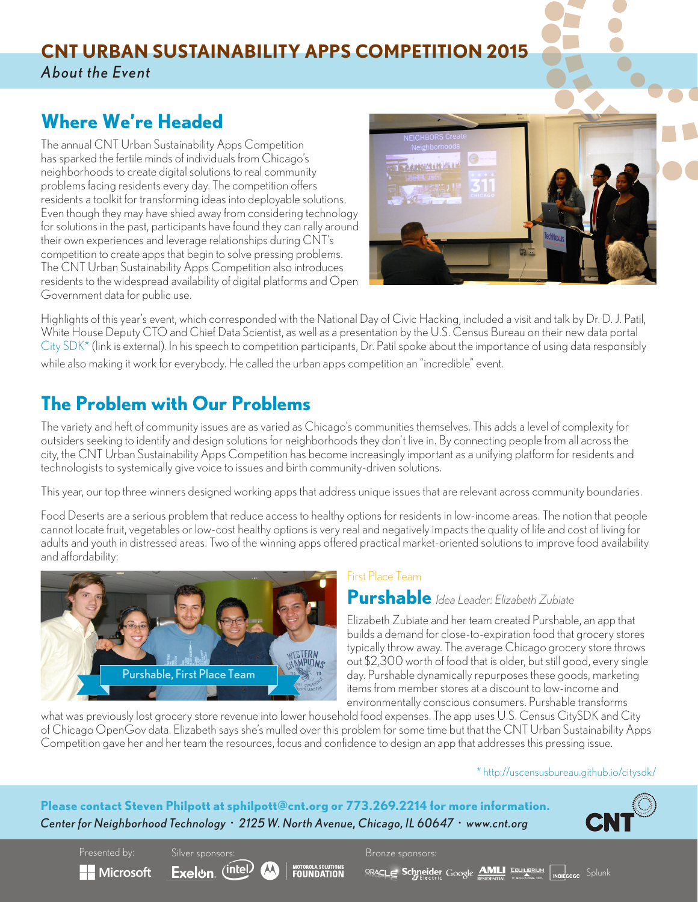## **CNT URBAN SUSTAINABILITY APPS COMPETITION 2015** *About the Event*

# **Where We're Headed**

The annual CNT Urban Sustainability Apps Competition has sparked the fertile minds of individuals from Chicago's neighborhoods to create digital solutions to real community problems facing residents every day. The competition offers residents a toolkit for transforming ideas into deployable solutions. Even though they may have shied away from considering technology for solutions in the past, participants have found they can rally around their own experiences and leverage relationships during CNT's competition to create apps that begin to solve pressing problems. The CNT Urban Sustainability Apps Competition also introduces residents to the widespread availability of digital platforms and Open Government data for public use.



Highlights of this year's event, which corresponded with the National Day of Civic Hacking, included a visit and talk by Dr. D. J. Patil, White House Deputy CTO and Chief Data Scientist, as well as a presentation by the U.S. Census Bureau on their new data portal [City SDK](http://uscensusbureau.github.io/citysdk/)\* (link is external). In his speech to competition participants, Dr. Patil spoke about the importance of using data responsibly while also making it work for everybody. He called the urban apps competition an "incredible" event.

# **The Problem with Our Problems**

The variety and heft of community issues are as varied as Chicago's communities themselves. This adds a level of complexity for outsiders seeking to identify and design solutions for neighborhoods they don't live in. By connecting people from all across the city, the CNT Urban Sustainability Apps Competition has become increasingly important as a unifying platform for residents and technologists to systemically give voice to issues and birth community-driven solutions.

This year, our top three winners designed working apps that address unique issues that are relevant across community boundaries.

Food Deserts are a serious problem that reduce access to healthy options for residents in low-income areas. The notion that people cannot locate fruit, vegetables or low-cost healthy options is very real and negatively impacts the quality of life and cost of living for adults and youth in distressed areas. Two of the winning apps offered practical market-oriented solutions to improve food availability and affordability:



### First Place Team

**Purshable** *Idea Leader: Elizabeth Zubiate*

Elizabeth Zubiate and her team created Purshable, an app that builds a demand for close-to-expiration food that grocery stores typically throw away. The average Chicago grocery store throws out \$2,300 worth of food that is older, but still good, every single day. Purshable dynamically repurposes these goods, marketing items from member stores at a discount to low-income and environmentally conscious consumers. Purshable transforms

what was previously lost grocery store revenue into lower household food expenses. The app uses U.S. Census CitySDK and City of Chicago OpenGov data. Elizabeth says she's mulled over this problem for some time but that the CNT Urban Sustainability Apps Competition gave her and her team the resources, focus and confidence to design an app that addresses this pressing issue.

#### [\\* http://uscensusbureau.github.io/citysdk/](http://uscensusbureau.github.io/citysdk/)

**Please contact Steven Philpott at sphilpott@cnt.org or 773.269.2214 for more information.** *Center for Neighborhood Technology* • *2125 W. North Avenue, Chicago, IL 60647* • *www.cnt.org*



 $\blacksquare$  Microsoft

Silver sponsors:

Exelon (intel)



Presented by: Silver sponsors: Bronze sponsors:

**SPACLE Schmeider Google AMLI** EQUILIBRIUM MOREGOGO Splunk